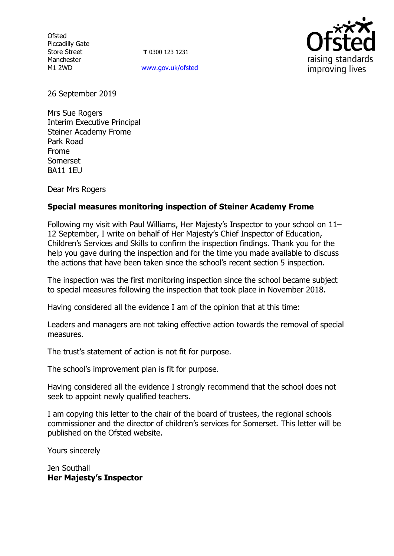Ofsted Piccadilly Gate Store Street Manchester M1 2WD

**T** 0300 123 1231 [www.gov.uk/ofsted](http://www.gov.uk/ofsted)



26 September 2019

Mrs Sue Rogers Interim Executive Principal Steiner Academy Frome Park Road Frome Somerset BA11 1EU

Dear Mrs Rogers

## **Special measures monitoring inspection of Steiner Academy Frome**

Following my visit with Paul Williams, Her Majesty's Inspector to your school on 11– 12 September, I write on behalf of Her Majesty's Chief Inspector of Education, Children's Services and Skills to confirm the inspection findings. Thank you for the help you gave during the inspection and for the time you made available to discuss the actions that have been taken since the school's recent section 5 inspection.

The inspection was the first monitoring inspection since the school became subject to special measures following the inspection that took place in November 2018.

Having considered all the evidence I am of the opinion that at this time:

Leaders and managers are not taking effective action towards the removal of special measures.

The trust's statement of action is not fit for purpose.

The school's improvement plan is fit for purpose.

Having considered all the evidence I strongly recommend that the school does not seek to appoint newly qualified teachers.

I am copying this letter to the chair of the board of trustees, the regional schools commissioner and the director of children's services for Somerset. This letter will be published on the Ofsted website.

Yours sincerely

Jen Southall **Her Majesty's Inspector**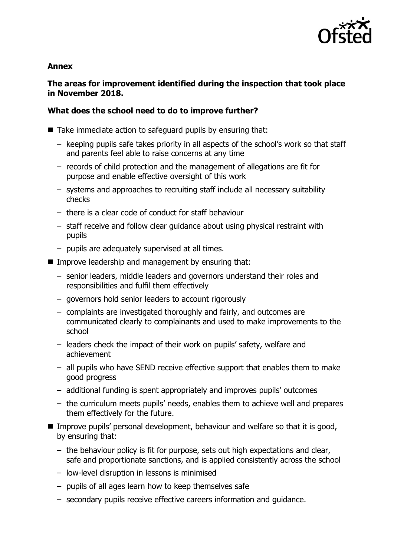

#### **Annex**

# **The areas for improvement identified during the inspection that took place in November 2018.**

# **What does the school need to do to improve further?**

■ Take immediate action to safeguard pupils by ensuring that:

- keeping pupils safe takes priority in all aspects of the school's work so that staff and parents feel able to raise concerns at any time
- records of child protection and the management of allegations are fit for purpose and enable effective oversight of this work
- systems and approaches to recruiting staff include all necessary suitability checks
- there is a clear code of conduct for staff behaviour
- staff receive and follow clear guidance about using physical restraint with pupils
- pupils are adequately supervised at all times.
- **IMPROVE LEADERSHIP and management by ensuring that:** 
	- senior leaders, middle leaders and governors understand their roles and responsibilities and fulfil them effectively
	- governors hold senior leaders to account rigorously
	- complaints are investigated thoroughly and fairly, and outcomes are communicated clearly to complainants and used to make improvements to the school
	- leaders check the impact of their work on pupils' safety, welfare and achievement
	- all pupils who have SEND receive effective support that enables them to make good progress
	- additional funding is spent appropriately and improves pupils' outcomes
	- the curriculum meets pupils' needs, enables them to achieve well and prepares them effectively for the future.
- Improve pupils' personal development, behaviour and welfare so that it is good, by ensuring that:
	- the behaviour policy is fit for purpose, sets out high expectations and clear, safe and proportionate sanctions, and is applied consistently across the school
	- low-level disruption in lessons is minimised
	- pupils of all ages learn how to keep themselves safe
	- secondary pupils receive effective careers information and guidance.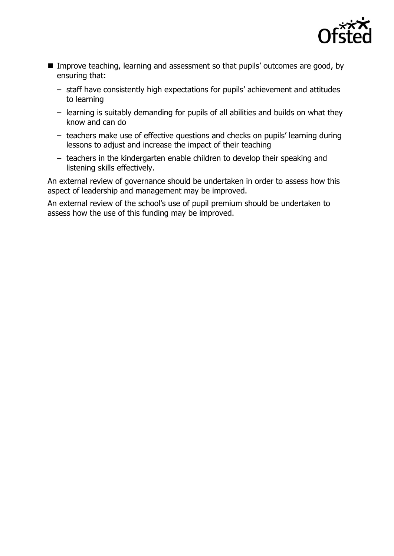

- **IMPROVE THEORY IMPLE 2015** Improve teaching, learning and assessment so that pupils' outcomes are good, by ensuring that:
	- staff have consistently high expectations for pupils' achievement and attitudes to learning
	- learning is suitably demanding for pupils of all abilities and builds on what they know and can do
	- teachers make use of effective questions and checks on pupils' learning during lessons to adjust and increase the impact of their teaching
	- teachers in the kindergarten enable children to develop their speaking and listening skills effectively.

An external review of governance should be undertaken in order to assess how this aspect of leadership and management may be improved.

An external review of the school's use of pupil premium should be undertaken to assess how the use of this funding may be improved.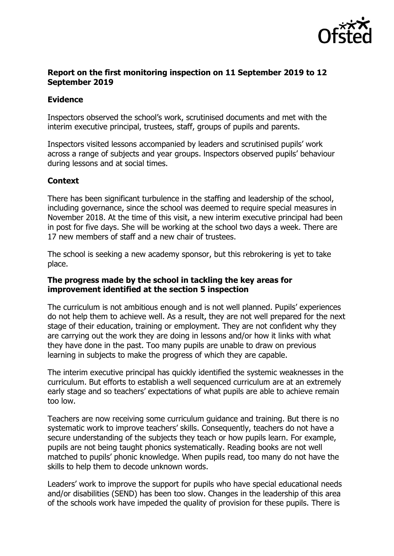

## **Report on the first monitoring inspection on 11 September 2019 to 12 September 2019**

## **Evidence**

Inspectors observed the school's work, scrutinised documents and met with the interim executive principal, trustees, staff, groups of pupils and parents.

Inspectors visited lessons accompanied by leaders and scrutinised pupils' work across a range of subjects and year groups. lnspectors observed pupils' behaviour during lessons and at social times.

## **Context**

There has been significant turbulence in the staffing and leadership of the school, including governance, since the school was deemed to require special measures in November 2018. At the time of this visit, a new interim executive principal had been in post for five days. She will be working at the school two days a week. There are 17 new members of staff and a new chair of trustees.

The school is seeking a new academy sponsor, but this rebrokering is yet to take place.

## **The progress made by the school in tackling the key areas for improvement identified at the section 5 inspection**

The curriculum is not ambitious enough and is not well planned. Pupils' experiences do not help them to achieve well. As a result, they are not well prepared for the next stage of their education, training or employment. They are not confident why they are carrying out the work they are doing in lessons and/or how it links with what they have done in the past. Too many pupils are unable to draw on previous learning in subjects to make the progress of which they are capable.

The interim executive principal has quickly identified the systemic weaknesses in the curriculum. But efforts to establish a well sequenced curriculum are at an extremely early stage and so teachers' expectations of what pupils are able to achieve remain too low.

Teachers are now receiving some curriculum guidance and training. But there is no systematic work to improve teachers' skills. Consequently, teachers do not have a secure understanding of the subjects they teach or how pupils learn. For example, pupils are not being taught phonics systematically. Reading books are not well matched to pupils' phonic knowledge. When pupils read, too many do not have the skills to help them to decode unknown words.

Leaders' work to improve the support for pupils who have special educational needs and/or disabilities (SEND) has been too slow. Changes in the leadership of this area of the schools work have impeded the quality of provision for these pupils. There is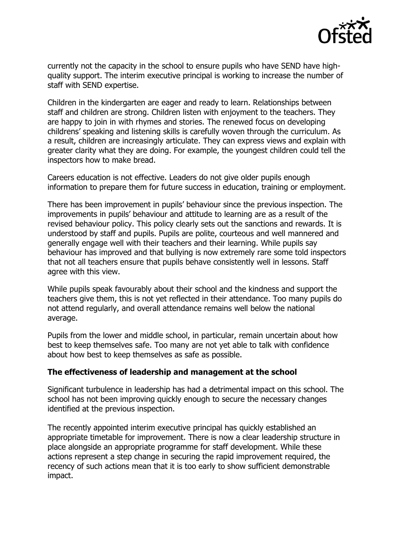

currently not the capacity in the school to ensure pupils who have SEND have highquality support. The interim executive principal is working to increase the number of staff with SEND expertise.

Children in the kindergarten are eager and ready to learn. Relationships between staff and children are strong. Children listen with enjoyment to the teachers. They are happy to join in with rhymes and stories. The renewed focus on developing childrens' speaking and listening skills is carefully woven through the curriculum. As a result, children are increasingly articulate. They can express views and explain with greater clarity what they are doing. For example, the youngest children could tell the inspectors how to make bread.

Careers education is not effective. Leaders do not give older pupils enough information to prepare them for future success in education, training or employment.

There has been improvement in pupils' behaviour since the previous inspection. The improvements in pupils' behaviour and attitude to learning are as a result of the revised behaviour policy. This policy clearly sets out the sanctions and rewards. It is understood by staff and pupils. Pupils are polite, courteous and well mannered and generally engage well with their teachers and their learning. While pupils say behaviour has improved and that bullying is now extremely rare some told inspectors that not all teachers ensure that pupils behave consistently well in lessons. Staff agree with this view.

While pupils speak favourably about their school and the kindness and support the teachers give them, this is not yet reflected in their attendance. Too many pupils do not attend regularly, and overall attendance remains well below the national average.

Pupils from the lower and middle school, in particular, remain uncertain about how best to keep themselves safe. Too many are not yet able to talk with confidence about how best to keep themselves as safe as possible.

#### **The effectiveness of leadership and management at the school**

Significant turbulence in leadership has had a detrimental impact on this school. The school has not been improving quickly enough to secure the necessary changes identified at the previous inspection.

The recently appointed interim executive principal has quickly established an appropriate timetable for improvement. There is now a clear leadership structure in place alongside an appropriate programme for staff development. While these actions represent a step change in securing the rapid improvement required, the recency of such actions mean that it is too early to show sufficient demonstrable impact.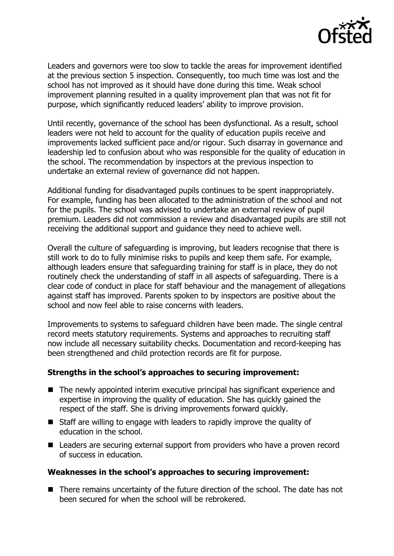

Leaders and governors were too slow to tackle the areas for improvement identified at the previous section 5 inspection. Consequently, too much time was lost and the school has not improved as it should have done during this time. Weak school improvement planning resulted in a quality improvement plan that was not fit for purpose, which significantly reduced leaders' ability to improve provision.

Until recently, governance of the school has been dysfunctional. As a result, school leaders were not held to account for the quality of education pupils receive and improvements lacked sufficient pace and/or rigour. Such disarray in governance and leadership led to confusion about who was responsible for the quality of education in the school. The recommendation by inspectors at the previous inspection to undertake an external review of governance did not happen.

Additional funding for disadvantaged pupils continues to be spent inappropriately. For example, funding has been allocated to the administration of the school and not for the pupils. The school was advised to undertake an external review of pupil premium. Leaders did not commission a review and disadvantaged pupils are still not receiving the additional support and guidance they need to achieve well.

Overall the culture of safeguarding is improving, but leaders recognise that there is still work to do to fully minimise risks to pupils and keep them safe. For example, although leaders ensure that safeguarding training for staff is in place, they do not routinely check the understanding of staff in all aspects of safeguarding. There is a clear code of conduct in place for staff behaviour and the management of allegations against staff has improved. Parents spoken to by inspectors are positive about the school and now feel able to raise concerns with leaders.

Improvements to systems to safeguard children have been made. The single central record meets statutory requirements. Systems and approaches to recruiting staff now include all necessary suitability checks. Documentation and record-keeping has been strengthened and child protection records are fit for purpose.

#### **Strengths in the school's approaches to securing improvement:**

- The newly appointed interim executive principal has significant experience and expertise in improving the quality of education. She has quickly gained the respect of the staff. She is driving improvements forward quickly.
- Staff are willing to engage with leaders to rapidly improve the quality of education in the school.
- Leaders are securing external support from providers who have a proven record of success in education.

#### **Weaknesses in the school's approaches to securing improvement:**

■ There remains uncertainty of the future direction of the school. The date has not been secured for when the school will be rebrokered.